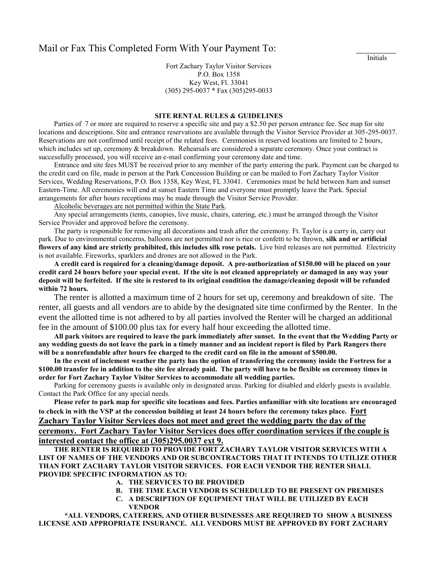## Mail or Fax This Completed Form With Your Payment To:

Fort Zachary Taylor Visitor Services P.O. Box 1358 Key West, Fl. 33041 (305) 295-0037 \* Fax (305)295-0033

## **SITE RENTAL RULES & GUIDELINES**

Parties of 7 or more are required to reserve a specific site and pay a \$2.50 per person entrance fee. See map for site locations and descriptions. Site and entrance reservations are available through the Visitor Service Provider at 305-295-0037. Reservations are not confirmed until receipt of the related fees. Ceremonies in reserved locations are limited to 2 hours, which includes set up, ceremony & breakdown. Rehearsals are considered a separate ceremony. Once your contract is successfully processed, you will receive an e-mail confirming your ceremony date and time.

Entrance and site fees MUST be received prior to any member of the party entering the park. Payment can be charged to the credit card on file, made in person at the Park Concession Building or can be mailed to Fort Zachary Taylor Visitor Services, Wedding Reservations, P.O. Box 1358, Key West, FL 33041. Ceremonies must be held between 8am and sunset Eastern-Time. All ceremonies will end at sunset Eastern Time and everyone must promptly leave the Park. Special arrangements for after hours receptions may be made through the Visitor Service Provider.

Alcoholic beverages are not permitted within the State Park.

Any special arrangements (tents, canopies, live music, chairs, catering, etc.) must be arranged through the Visitor Service Provider and approved before the ceremony.

The party is responsible for removing all decorations and trash after the ceremony. Ft. Taylor is a carry in, carry out park. Due to environmental concerns, balloons are not permitted nor is rice or confetti to be thrown, **silk and or artificial flowers of any kind are strictly prohibited, this includes silk rose petals.** Live bird releases are not permitted. Electricity is not available. Fireworks, sparklers and drones are not allowed in the Park.

**A credit card is required for a cleaning/damage deposit. A pre-authorization of \$150.00 will be placed on your credit card 24 hours before your special event. If the site is not cleaned appropriately or damaged in any way your deposit will be forfeited. If the site is restored to its original condition the damage/cleaning deposit will be refunded within 72 hours.** 

The renter is allotted a maximum time of 2 hours for set up, ceremony and breakdown of site. The renter, all guests and all vendors are to abide by the designated site time confirmed by the Renter. In the event the allotted time is not adhered to by all parties involved the Renter will be charged an additional fee in the amount of \$100.00 plus tax for every half hour exceeding the allotted time.

**All park visitors are required to leave the park immediately after sunset. In the event that the Wedding Party or any wedding guests do not leave the park in a timely manner and an incident report is filed by Park Rangers there will be a nonrefundable after hours fee charged to the credit card on file in the amount of \$500.00.**

**In the event of inclement weather the party has the option of transfering the ceremony inside the Fortress for a \$100.00 transfer fee in addition to the site fee already paid. The party will have to be flexible on ceremony times in order for Fort Zachary Taylor Visitor Services to accommodate all wedding parties.**

Parking for ceremony guests is available only in designated areas. Parking for disabled and elderly guests is available. Contact the Park Office for any special needs.

**Please refer to park map for specific site locations and fees. Parties unfamiliar with site locations are encouraged to check in with the VSP at the concession building at least 24 hours before the ceremony takes place. Fort Zachary Taylor Visitor Services does not meet and greet the wedding party the day of the ceremony. Fort Zachary Taylor Visitor Services does offer coordination services if the couple is interested contact the office at (305)295.0037 ext 9.**

**THE RENTER IS REQUIRED TO PROVIDE FORT ZACHARY TAYLOR VISITOR SERVICES WITH A LIST OF NAMES OF THE VENDORS AND OR SUBCONTRACTORS THAT IT INTENDS TO UTILIZE OTHER THAN FORT ZACHARY TAYLOR VISITOR SERVICES. FOR EACH VENDOR THE RENTER SHALL PROVIDE SPECIFIC INFORMATION AS TO:**

- **A. THE SERVICES TO BE PROVIDED**
- **B. THE TIME EACH VENDOR IS SCHEDULED TO BE PRESENT ON PREMISES**
- **C. A DESCRIPTION OF EQUIPMENT THAT WILL BE UTILIZED BY EACH VENDOR**

**\*ALL VENDORS, CATERERS, AND OTHER BUSINESSES ARE REQUIRED TO SHOW A BUSINESS LICENSE AND APPROPRIATE INSURANCE. ALL VENDORS MUST BE APPROVED BY FORT ZACHARY** 

**Initials**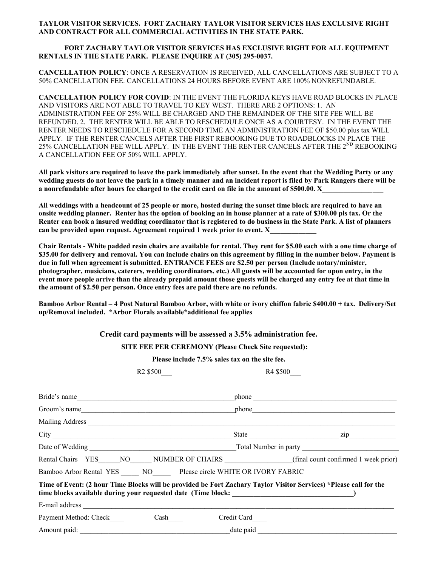## **TAYLOR VISITOR SERVICES. FORT ZACHARY TAYLOR VISITOR SERVICES HAS EXCLUSIVE RIGHT AND CONTRACT FOR ALL COMMERCIAL ACTIVITIES IN THE STATE PARK.**

## **FORT ZACHARY TAYLOR VISITOR SERVICES HAS EXCLUSIVE RIGHT FOR ALL EQUIPMENT RENTALS IN THE STATE PARK. PLEASE INQUIRE AT (305) 295-0037.**

**CANCELLATION POLICY**: ONCE A RESERVATION IS RECEIVED, ALL CANCELLATIONS ARE SUBJECT TO A 50% CANCELLATION FEE. CANCELLATIONS 24 HOURS BEFORE EVENT ARE 100% NONREFUNDABLE.

**CANCELLATION POLICY FOR COVID**: IN THE EVENT THE FLORIDA KEYS HAVE ROAD BLOCKS IN PLACE AND VISITORS ARE NOT ABLE TO TRAVEL TO KEY WEST. THERE ARE 2 OPTIONS: 1. AN ADMINISTRATION FEE OF 25% WILL BE CHARGED AND THE REMAINDER OF THE SITE FEE WILL BE REFUNDED. 2. THE RENTER WILL BE ABLE TO RESCHEDULE ONCE AS A COURTESY. IN THE EVENT THE RENTER NEEDS TO RESCHEDULE FOR A SECOND TIME AN ADMINISTRATION FEE OF \$50.00 plus tax WILL APPLY. IF THE RENTER CANCELS AFTER THE FIRST REBOOKING DUE TO ROADBLOCKS IN PLACE THE 25% CANCELLATION FEE WILL APPLY. IN THE EVENT THE RENTER CANCELS AFTER THE 2<sup>ND</sup> REBOOKING A CANCELLATION FEE OF 50% WILL APPLY.

**All park visitors are required to leave the park immediately after sunset. In the event that the Wedding Party or any wedding guests do not leave the park in a timely manner and an incident report is filed by Park Rangers there will be a nonrefundable after hours fee charged to the credit card on file in the amount of \$500.00. X** 

**All weddings with a headcount of 25 people or more, hosted during the sunset time block are required to have an onsite wedding planner. Renter has the option of booking an in house planner at a rate of \$300.00 pls tax. Or the Renter can book a insured wedding coordinator that is registered to do business in the State Park. A list of planners**  can be provided upon request. Agreement required 1 week prior to event. X

**Chair Rentals - White padded resin chairs are available for rental. They rent for \$5.00 each with a one time charge of \$35.00 for delivery and removal. You can include chairs on this agreement by filling in the number below. Payment is due in full when agreement is submitted. ENTRANCE FEES are \$2.50 per person (Include notary/minister, photographer, musicians, caterers, wedding coordinators, etc.) All guests will be accounted for upon entry, in the event more people arrive than the already prepaid amount those guests will be charged any entry fee at that time in the amount of \$2.50 per person. Once entry fees are paid there are no refunds.**

**Bamboo Arbor Rental – 4 Post Natural Bamboo Arbor, with white or ivory chiffon fabric \$400.00 + tax. Delivery/Set up/Removal included. \*Arbor Florals available\*additional fee applies**

 **Credit card payments will be assessed a 3.5% administration fee.**

 **SITE FEE PER CEREMONY (Please Check Site requested):** 

**Please include 7.5% sales tax on the site fee.**

R2 \$500 R4 \$500

| Bride's name                                                                                                                                                                                                                  | phone and the contract of the contract of the contract of the contract of the contract of the contract of the contract of the contract of the contract of the contract of the contract of the contract of the contract of the  |
|-------------------------------------------------------------------------------------------------------------------------------------------------------------------------------------------------------------------------------|--------------------------------------------------------------------------------------------------------------------------------------------------------------------------------------------------------------------------------|
| Groom's name                                                                                                                                                                                                                  | phone and the second state of the second state of the second state of the second state of the second state of the second state of the second state of the second state of the second state of the second state of the second s |
|                                                                                                                                                                                                                               |                                                                                                                                                                                                                                |
|                                                                                                                                                                                                                               |                                                                                                                                                                                                                                |
|                                                                                                                                                                                                                               |                                                                                                                                                                                                                                |
|                                                                                                                                                                                                                               | Rental Chairs YES NO NUMBER OF CHAIRS (final count confirmed 1 week prior)                                                                                                                                                     |
| Bamboo Arbor Rental YES NO Please circle WHITE OR IVORY FABRIC                                                                                                                                                                |                                                                                                                                                                                                                                |
|                                                                                                                                                                                                                               | Time of Event: (2 hour Time Blocks will be provided be Fort Zachary Taylor Visitor Services) *Please call for the                                                                                                              |
| E-mail address experience and the contract of the contract of the contract of the contract of the contract of the contract of the contract of the contract of the contract of the contract of the contract of the contract of |                                                                                                                                                                                                                                |
| Payment Method: Check                                                                                                                                                                                                         | Credit Card_____                                                                                                                                                                                                               |
| Amount paid: date paid                                                                                                                                                                                                        |                                                                                                                                                                                                                                |